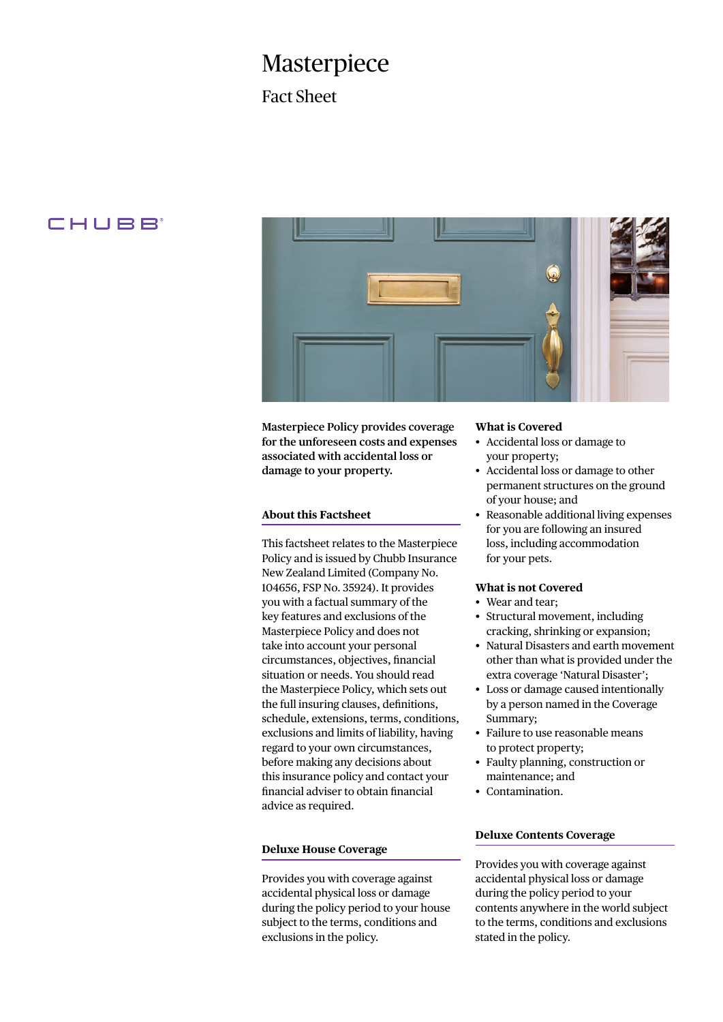# Masterpiece

Fact Sheet

# CHUBB



**Masterpiece Policy provides coverage for the unforeseen costs and expenses associated with accidental loss or damage to your property.**

# **About this Factsheet**

This factsheet relates to the Masterpiece Policy and is issued by Chubb Insurance New Zealand Limited (Company No. 104656, FSP No. 35924). It provides you with a factual summary of the key features and exclusions of the Masterpiece Policy and does not take into account your personal circumstances, objectives, financial situation or needs. You should read the Masterpiece Policy, which sets out the full insuring clauses, definitions, schedule, extensions, terms, conditions, exclusions and limits of liability, having regard to your own circumstances, before making any decisions about this insurance policy and contact your financial adviser to obtain financial advice as required.

# **Deluxe House Coverage**

Provides you with coverage against accidental physical loss or damage during the policy period to your house subject to the terms, conditions and exclusions in the policy.

#### **What is Covered**

- Accidental loss or damage to your property;
- Accidental loss or damage to other permanent structures on the ground of your house; and
- Reasonable additional living expenses for you are following an insured loss, including accommodation for your pets.

### **What is not Covered**

- Wear and tear;
- Structural movement, including cracking, shrinking or expansion;
- Natural Disasters and earth movement other than what is provided under the extra coverage 'Natural Disaster';
- Loss or damage caused intentionally by a person named in the Coverage Summary;
- Failure to use reasonable means to protect property;
- Faulty planning, construction or maintenance; and
- Contamination.

### **Deluxe Contents Coverage**

Provides you with coverage against accidental physical loss or damage during the policy period to your contents anywhere in the world subject to the terms, conditions and exclusions stated in the policy.